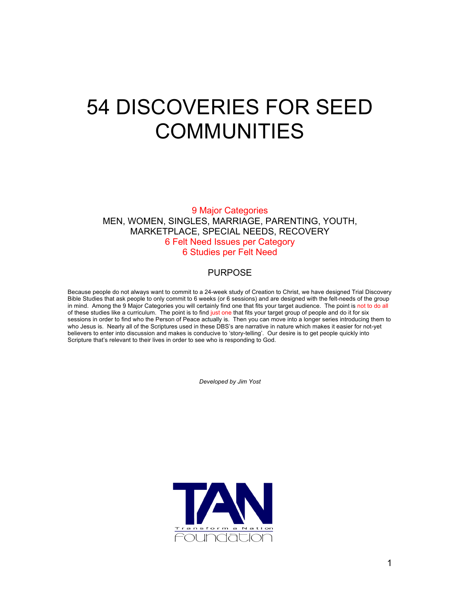# 54 DISCOVERIES FOR SEED COMMUNITIES

9 Major Categories MEN, WOMEN, SINGLES, MARRIAGE, PARENTING, YOUTH, MARKETPLACE, SPECIAL NEEDS, RECOVERY 6 Felt Need Issues per Category 6 Studies per Felt Need

#### PURPOSE

Because people do not always want to commit to a 24-week study of Creation to Christ, we have designed Trial Discovery Bible Studies that ask people to only commit to 6 weeks (or 6 sessions) and are designed with the felt-needs of the group in mind. Among the 9 Major Categories you will certainly find one that fits your target audience. The point is not to do all of these studies like a curriculum. The point is to find just one that fits your target group of people and do it for six sessions in order to find who the Person of Peace actually is. Then you can move into a longer series introducing them to who Jesus is. Nearly all of the Scriptures used in these DBS's are narrative in nature which makes it easier for not-yet believers to enter into discussion and makes is conducive to 'story-telling'. Our desire is to get people quickly into Scripture that's relevant to their lives in order to see who is responding to God.

*Developed by Jim Yost*

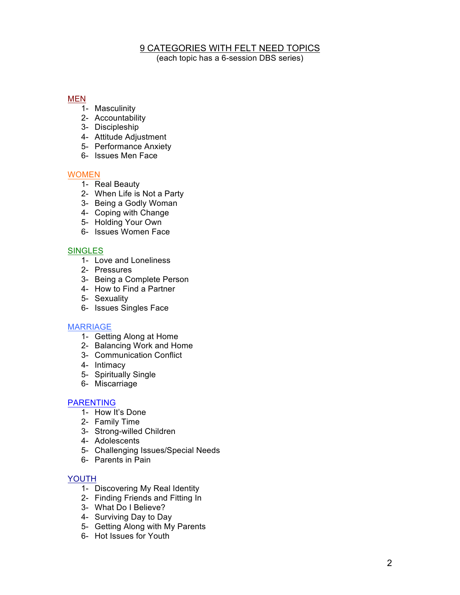### 9 CATEGORIES WITH FELT NEED TOPICS

(each topic has a 6-session DBS series)

#### MEN

- $\overline{1}$  Masculinity
- 2- Accountability
- 3- Discipleship
- 4- Attitude Adjustment
- 5- Performance Anxiety
- 6- Issues Men Face

#### **WOMEN**

- 1- Real Beauty
- 2- When Life is Not a Party
- 3- Being a Godly Woman
- 4- Coping with Change
- 5- Holding Your Own
- 6- Issues Women Face

#### **SINGLES**

- 1- Love and Loneliness
- 2- Pressures
- 3- Being a Complete Person
- 4- How to Find a Partner
- 5- Sexuality
- 6- Issues Singles Face

#### MARRIAGE

- 1- Getting Along at Home
- 2- Balancing Work and Home
- 3- Communication Conflict
- 4- Intimacy
- 5- Spiritually Single
- 6- Miscarriage

#### PARENTING

- 1- How It's Done
- 2- Family Time
- 3- Strong-willed Children
- 4- Adolescents
- 5- Challenging Issues/Special Needs
- 6- Parents in Pain

#### YOUTH

- 1- Discovering My Real Identity
- 2- Finding Friends and Fitting In
- 3- What Do I Believe?
- 4- Surviving Day to Day
- 5- Getting Along with My Parents
- 6- Hot Issues for Youth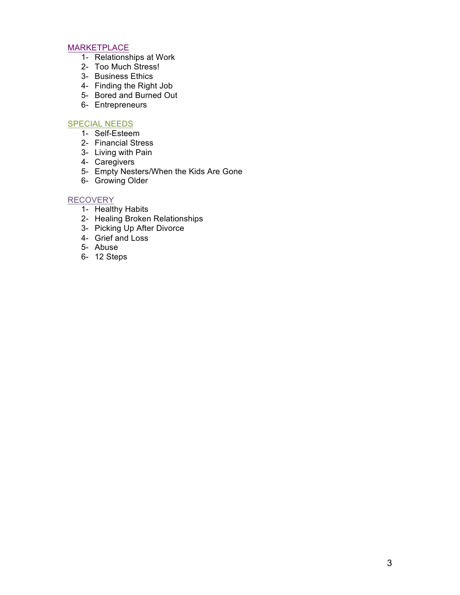#### MARKETPLACE

- 1- Relationships at Work
- 2- Too Much Stress!
- 3- Business Ethics
- 4- Finding the Right Job
- 5- Bored and Burned Out
- 6- Entrepreneurs

#### SPECIAL NEEDS

- 1- Self-Esteem
- 2- Financial Stress
- 3- Living with Pain
- 4- Caregivers
- 5- Empty Nesters/When the Kids Are Gone
- 6- Growing Older

#### RECOVERY

- 1- Healthy Habits
- 2- Healing Broken Relationships
- 3- Picking Up After Divorce
- 4- Grief and Loss
- 5- Abuse
- 6- 12 Steps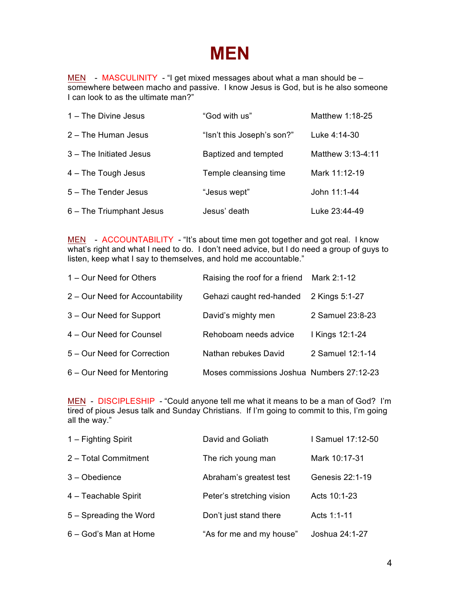### **MEN**

MEN - MASCULINITY - "I get mixed messages about what a man should be somewhere between macho and passive. I know Jesus is God, but is he also someone I can look to as the ultimate man?"

| 1 – The Divine Jesus     | "God with us"              | Matthew 1:18-25   |
|--------------------------|----------------------------|-------------------|
| 2 - The Human Jesus      | "Isn't this Joseph's son?" | Luke 4:14-30      |
| 3 - The Initiated Jesus  | Baptized and tempted       | Matthew 3:13-4:11 |
| 4 - The Tough Jesus      | Temple cleansing time      | Mark 11:12-19     |
| 5 - The Tender Jesus     | "Jesus wept"               | John 11:1-44      |
| 6 – The Triumphant Jesus | Jesus' death               | Luke 23:44-49     |

MEN - ACCOUNTABILITY - "It's about time men got together and got real. I know what's right and what I need to do. I don't need advice, but I do need a group of guys to listen, keep what I say to themselves, and hold me accountable."

| 1 – Our Need for Others         | Raising the roof for a friend Mark 2:1-12 |                  |
|---------------------------------|-------------------------------------------|------------------|
| 2 – Our Need for Accountability | Gehazi caught red-handed                  | 2 Kings 5:1-27   |
| 3 – Our Need for Support        | David's mighty men                        | 2 Samuel 23:8-23 |
| 4 – Our Need for Counsel        | Rehoboam needs advice                     | I Kings 12:1-24  |
| 5 – Our Need for Correction     | Nathan rebukes David                      | 2 Samuel 12:1-14 |
| 6 – Our Need for Mentoring      | Moses commissions Joshua Numbers 27:12-23 |                  |

MEN - DISCIPLESHIP - "Could anyone tell me what it means to be a man of God? I'm tired of pious Jesus talk and Sunday Christians. If I'm going to commit to this, I'm going all the way."

| 1 – Fighting Spirit    | David and Goliath         | I Samuel 17:12-50 |
|------------------------|---------------------------|-------------------|
| 2 - Total Commitment   | The rich young man        | Mark 10:17-31     |
| $3 - Obedience$        | Abraham's greatest test   | Genesis 22:1-19   |
| 4 - Teachable Spirit   | Peter's stretching vision | Acts 10:1-23      |
| 5 - Spreading the Word | Don't just stand there    | Acts 1:1-11       |
| 6 – God's Man at Home  | "As for me and my house"  | Joshua 24:1-27    |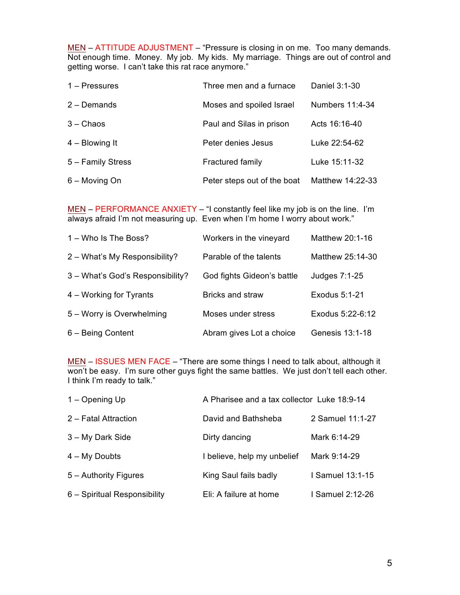MEN – ATTITUDE ADJUSTMENT – "Pressure is closing in on me. Too many demands. Not enough time. Money. My job. My kids. My marriage. Things are out of control and getting worse. I can't take this rat race anymore."

| $1 -$ Pressures   | Three men and a furnace     | Daniel 3:1-30    |
|-------------------|-----------------------------|------------------|
| $2 -$ Demands     | Moses and spoiled Israel    | Numbers 11:4-34  |
| $3 -$ Chaos       | Paul and Silas in prison    | Acts 16:16-40    |
| $4 - Blowing It$  | Peter denies Jesus          | Luke 22:54-62    |
| 5 - Family Stress | <b>Fractured family</b>     | Luke 15:11-32    |
| 6 - Moving On     | Peter steps out of the boat | Matthew 14:22-33 |

MEN – PERFORMANCE ANXIETY – "I constantly feel like my job is on the line. I'm always afraid I'm not measuring up. Even when I'm home I worry about work."

| 1 – Who Is The Boss?             | Workers in the vineyard    | Matthew 20:1-16  |
|----------------------------------|----------------------------|------------------|
| 2 - What's My Responsibility?    | Parable of the talents     | Matthew 25:14-30 |
| 3 - What's God's Responsibility? | God fights Gideon's battle | Judges 7:1-25    |
| 4 – Working for Tyrants          | <b>Bricks and straw</b>    | Exodus 5:1-21    |
| 5 - Worry is Overwhelming        | Moses under stress         | Exodus 5:22-6:12 |
| 6 - Being Content                | Abram gives Lot a choice   | Genesis 13:1-18  |

MEN – ISSUES MEN FACE – "There are some things I need to talk about, although it won't be easy. I'm sure other guys fight the same battles. We just don't tell each other. I think I'm ready to talk."

| 1 – Opening Up               | A Pharisee and a tax collector Luke 18:9-14 |                  |
|------------------------------|---------------------------------------------|------------------|
| 2 - Fatal Attraction         | David and Bathsheba                         | 2 Samuel 11:1-27 |
| 3 – My Dark Side             | Dirty dancing                               | Mark 6:14-29     |
| $4 - My$ Doubts              | I believe, help my unbelief                 | Mark 9:14-29     |
| 5 - Authority Figures        | King Saul fails badly                       | I Samuel 13:1-15 |
| 6 - Spiritual Responsibility | Eli: A failure at home                      | I Samuel 2:12-26 |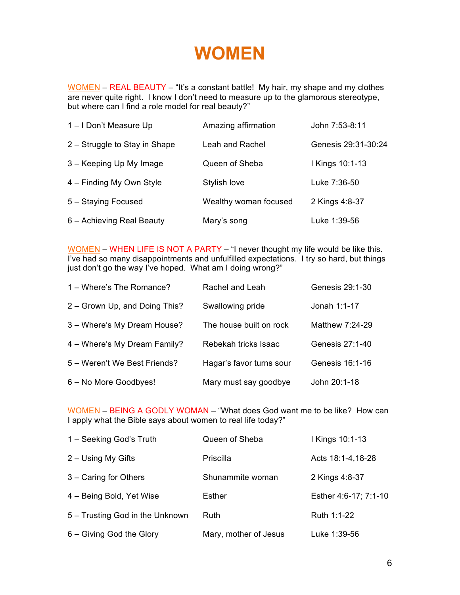### **WOMEN**

WOMEN – REAL BEAUTY – "It's a constant battle! My hair, my shape and my clothes are never quite right. I know I don't need to measure up to the glamorous stereotype, but where can I find a role model for real beauty?"

| 1-I Don't Measure Up          | Amazing affirmation   | John 7:53-8:11      |
|-------------------------------|-----------------------|---------------------|
| 2 – Struggle to Stay in Shape | Leah and Rachel       | Genesis 29:31-30:24 |
| 3 – Keeping Up My Image       | Queen of Sheba        | I Kings 10:1-13     |
| 4 – Finding My Own Style      | Stylish love          | Luke 7:36-50        |
| 5 - Staying Focused           | Wealthy woman focused | 2 Kings 4:8-37      |
| 6 - Achieving Real Beauty     | Mary's song           | Luke 1:39-56        |

WOMEN – WHEN LIFE IS NOT A PARTY – "I never thought my life would be like this. I've had so many disappointments and unfulfilled expectations. I try so hard, but things just don't go the way I've hoped. What am I doing wrong?"

| 1 – Where's The Romance?      | Rachel and Leah          | Genesis 29:1-30 |
|-------------------------------|--------------------------|-----------------|
| 2 – Grown Up, and Doing This? | Swallowing pride         | Jonah 1:1-17    |
| 3 - Where's My Dream House?   | The house built on rock  | Matthew 7:24-29 |
| 4 - Where's My Dream Family?  | Rebekah tricks Isaac     | Genesis 27:1-40 |
| 5 - Weren't We Best Friends?  | Hagar's favor turns sour | Genesis 16:1-16 |
| 6 - No More Goodbyes!         | Mary must say goodbye    | John 20:1-18    |

WOMEN – BEING A GODLY WOMAN – "What does God want me to be like? How can I apply what the Bible says about women to real life today?"

| 1 - Seeking God's Truth         | Queen of Sheba        | I Kings 10:1-13       |
|---------------------------------|-----------------------|-----------------------|
| 2 - Using My Gifts              | Priscilla             | Acts 18:1-4,18-28     |
| 3 - Caring for Others           | Shunammite woman      | 2 Kings 4:8-37        |
| 4 – Being Bold, Yet Wise        | Esther                | Esther 4:6-17; 7:1-10 |
| 5 - Trusting God in the Unknown | <b>Ruth</b>           | Ruth 1:1-22           |
| 6 - Giving God the Glory        | Mary, mother of Jesus | Luke 1:39-56          |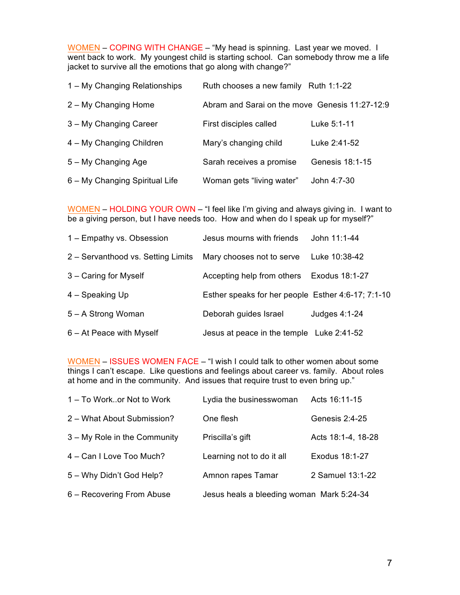WOMEN – COPING WITH CHANGE – "My head is spinning. Last year we moved. I went back to work. My youngest child is starting school. Can somebody throw me a life jacket to survive all the emotions that go along with change?"

| 1 – My Changing Relationships  | Ruth chooses a new family Ruth 1:1-22          |                 |
|--------------------------------|------------------------------------------------|-----------------|
| 2 – My Changing Home           | Abram and Sarai on the move Genesis 11:27-12:9 |                 |
| 3 – My Changing Career         | First disciples called                         | Luke 5:1-11     |
| 4 – My Changing Children       | Mary's changing child                          | Luke 2:41-52    |
| 5 – My Changing Age            | Sarah receives a promise                       | Genesis 18:1-15 |
| 6 – My Changing Spiritual Life | Woman gets "living water"                      | John 4:7-30     |

WOMEN – HOLDING YOUR OWN – "I feel like I'm giving and always giving in. I want to be a giving person, but I have needs too. How and when do I speak up for myself?"

| 1 - Empathy vs. Obsession          | Jesus mourns with friends                          | John 11:1-44   |
|------------------------------------|----------------------------------------------------|----------------|
| 2 - Servanthood vs. Setting Limits | Mary chooses not to serve                          | Luke 10:38-42  |
| 3 - Caring for Myself              | Accepting help from others                         | Exodus 18:1-27 |
| 4 - Speaking Up                    | Esther speaks for her people Esther 4:6-17; 7:1-10 |                |
| 5 – A Strong Woman                 | Deborah guides Israel                              | Judges 4:1-24  |
| $6 - At$ Peace with Myself         | Jesus at peace in the temple Luke 2:41-52          |                |

WOMEN – ISSUES WOMEN FACE – "I wish I could talk to other women about some things I can't escape. Like questions and feelings about career vs. family. About roles at home and in the community. And issues that require trust to even bring up."

| 1 – To Workor Not to Work    | Lydia the businesswoman                   | Acts 16:11-15      |
|------------------------------|-------------------------------------------|--------------------|
| 2 - What About Submission?   | One flesh                                 | Genesis 2:4-25     |
| 3 – My Role in the Community | Priscilla's gift                          | Acts 18:1-4, 18-28 |
| 4 - Can I Love Too Much?     | Learning not to do it all                 | Exodus 18:1-27     |
| 5 - Why Didn't God Help?     | Amnon rapes Tamar                         | 2 Samuel 13:1-22   |
| 6 – Recovering From Abuse    | Jesus heals a bleeding woman Mark 5:24-34 |                    |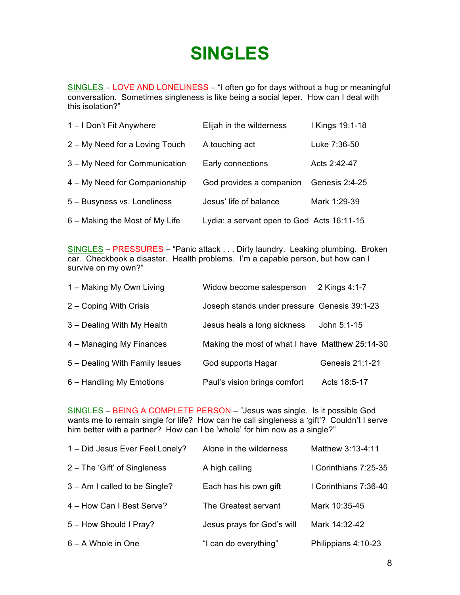### **SINGLES**

SINGLES – LOVE AND LONELINESS – "I often go for days without a hug or meaningful conversation. Sometimes singleness is like being a social leper. How can I deal with this isolation?"

| 1-I Don't Fit Anywhere         | Elijah in the wilderness                   | I Kings 19:1-18 |
|--------------------------------|--------------------------------------------|-----------------|
| 2 – My Need for a Loving Touch | A touching act                             | Luke 7:36-50    |
| 3 – My Need for Communication  | Early connections                          | Acts 2:42-47    |
| 4 – My Need for Companionship  | God provides a companion                   | Genesis 2:4-25  |
| 5 - Busyness vs. Loneliness    | Jesus' life of balance                     | Mark 1:29-39    |
| 6 – Making the Most of My Life | Lydia: a servant open to God Acts 16:11-15 |                 |

SINGLES – PRESSURES – "Panic attack . . . Dirty laundry. Leaking plumbing. Broken car. Checkbook a disaster. Health problems. I'm a capable person, but how can I survive on my own?"

| 1 – Making My Own Living       | Widow become salesperson                        | 2 Kings 4:1-7   |
|--------------------------------|-------------------------------------------------|-----------------|
| 2 - Coping With Crisis         | Joseph stands under pressure Genesis 39:1-23    |                 |
| 3 - Dealing With My Health     | Jesus heals a long sickness                     | John 5:1-15     |
| 4 – Managing My Finances       | Making the most of what I have Matthew 25:14-30 |                 |
| 5 – Dealing With Family Issues | God supports Hagar                              | Genesis 21:1-21 |
| 6 – Handling My Emotions       | Paul's vision brings comfort                    | Acts 18:5-17    |

SINGLES – BEING A COMPLETE PERSON – "Jesus was single. Is it possible God wants me to remain single for life? How can he call singleness a 'gift'? Couldn't I serve him better with a partner? How can I be 'whole' for him now as a single?"

| 1 - Did Jesus Ever Feel Lonely? | Alone in the wilderness    | Matthew 3:13-4:11     |
|---------------------------------|----------------------------|-----------------------|
| 2 – The 'Gift' of Singleness    | A high calling             | I Corinthians 7:25-35 |
| 3 – Am I called to be Single?   | Each has his own gift      | I Corinthians 7:36-40 |
| 4 – How Can I Best Serve?       | The Greatest servant       | Mark 10:35-45         |
| 5 - How Should I Pray?          | Jesus prays for God's will | Mark 14:32-42         |
| 6 – A Whole in One              | "I can do everything"      | Philippians 4:10-23   |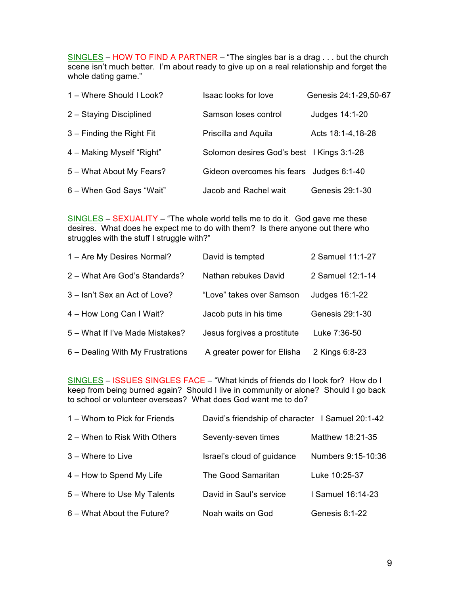SINGLES – HOW TO FIND A PARTNER – "The singles bar is a drag . . . but the church scene isn't much better. I'm about ready to give up on a real relationship and forget the whole dating game."

| 1 – Where Should I Look?  | Isaac looks for love                      | Genesis 24:1-29,50-67 |
|---------------------------|-------------------------------------------|-----------------------|
| 2 - Staying Disciplined   | Samson loses control                      | Judges 14:1-20        |
| 3 – Finding the Right Fit | Priscilla and Aquila                      | Acts 18:1-4,18-28     |
| 4 – Making Myself "Right" | Solomon desires God's best   Kings 3:1-28 |                       |
| 5 - What About My Fears?  | Gideon overcomes his fears Judges 6:1-40  |                       |
| 6 - When God Says "Wait"  | Jacob and Rachel wait                     | Genesis 29:1-30       |

SINGLES – SEXUALITY – "The whole world tells me to do it. God gave me these desires. What does he expect me to do with them? Is there anyone out there who struggles with the stuff I struggle with?"

| 1 - Are My Desires Normal?       | David is tempted            | 2 Samuel 11:1-27 |
|----------------------------------|-----------------------------|------------------|
| 2 - What Are God's Standards?    | Nathan rebukes David        | 2 Samuel 12:1-14 |
| 3 - Isn't Sex an Act of Love?    | "Love" takes over Samson    | Judges 16:1-22   |
| 4 - How Long Can I Wait?         | Jacob puts in his time      | Genesis 29:1-30  |
| 5 – What If I've Made Mistakes?  | Jesus forgives a prostitute | Luke 7:36-50     |
| 6 – Dealing With My Frustrations | A greater power for Elisha  | 2 Kings 6:8-23   |

SINGLES – ISSUES SINGLES FACE – "What kinds of friends do I look for? How do I keep from being burned again? Should I live in community or alone? Should I go back to school or volunteer overseas? What does God want me to do?

| 1 – Whom to Pick for Friends | David's friendship of character   Samuel 20:1-42 |                    |
|------------------------------|--------------------------------------------------|--------------------|
| 2 – When to Risk With Others | Seventy-seven times                              | Matthew 18:21-35   |
| $3 -$ Where to Live          | Israel's cloud of guidance                       | Numbers 9:15-10:36 |
| 4 – How to Spend My Life     | The Good Samaritan                               | Luke 10:25-37      |
| 5 - Where to Use My Talents  | David in Saul's service                          | I Samuel 16:14-23  |
| 6 - What About the Future?   | Noah waits on God                                | Genesis 8:1-22     |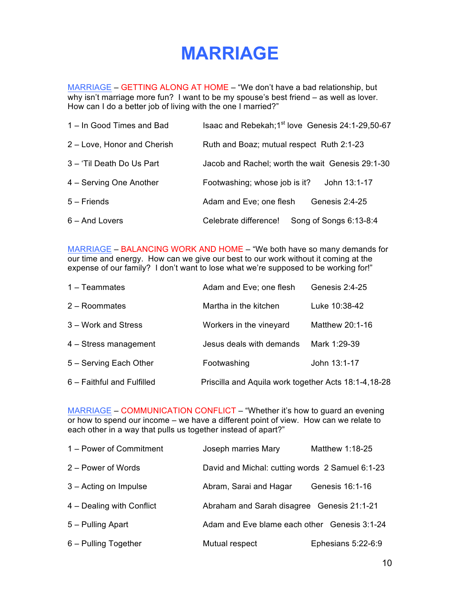### **MARRIAGE**

MARRIAGE – GETTING ALONG AT HOME – "We don't have a bad relationship, but why isn't marriage more fun? I want to be my spouse's best friend – as well as lover. How can I do a better job of living with the one I married?"

| 1 – In Good Times and Bad   | Isaac and Rebekah; 1 <sup>st</sup> love Genesis 24:1-29,50-67 |  |
|-----------------------------|---------------------------------------------------------------|--|
| 2 - Love, Honor and Cherish | Ruth and Boaz; mutual respect Ruth 2:1-23                     |  |
| 3 - 'Til Death Do Us Part   | Jacob and Rachel; worth the wait Genesis 29:1-30              |  |
| 4 – Serving One Another     | John 13:1-17<br>Footwashing; whose job is it?                 |  |
| $5 -$ Friends               | Genesis 2:4-25<br>Adam and Eve; one flesh                     |  |
| 6 - And Lovers              | Song of Songs 6:13-8:4<br>Celebrate difference!               |  |

MARRIAGE – BALANCING WORK AND HOME – "We both have so many demands for our time and energy. How can we give our best to our work without it coming at the expense of our family? I don't want to lose what we're supposed to be working for!"

| $1 - Teammates$            | Adam and Eve; one flesh                              | Genesis 2:4-25  |
|----------------------------|------------------------------------------------------|-----------------|
| 2 - Roommates              | Martha in the kitchen                                | Luke 10:38-42   |
| 3 – Work and Stress        | Workers in the vineyard                              | Matthew 20:1-16 |
| 4 - Stress management      | Jesus deals with demands                             | Mark 1:29-39    |
| 5 - Serving Each Other     | Footwashing                                          | John 13:1-17    |
| 6 - Faithful and Fulfilled | Priscilla and Aquila work together Acts 18:1-4,18-28 |                 |

MARRIAGE – COMMUNICATION CONFLICT – "Whether it's how to guard an evening or how to spend our income – we have a different point of view. How can we relate to each other in a way that pulls us together instead of apart?"

| 1 – Power of Commitment   | Joseph marries Mary                             | Matthew 1:18-25    |
|---------------------------|-------------------------------------------------|--------------------|
| 2 – Power of Words        | David and Michal: cutting words 2 Samuel 6:1-23 |                    |
| 3 – Acting on Impulse     | Abram, Sarai and Hagar                          | Genesis 16:1-16    |
| 4 - Dealing with Conflict | Abraham and Sarah disagree Genesis 21:1-21      |                    |
| 5 - Pulling Apart         | Adam and Eve blame each other Genesis 3:1-24    |                    |
| 6 - Pulling Together      | Mutual respect                                  | Ephesians 5:22-6:9 |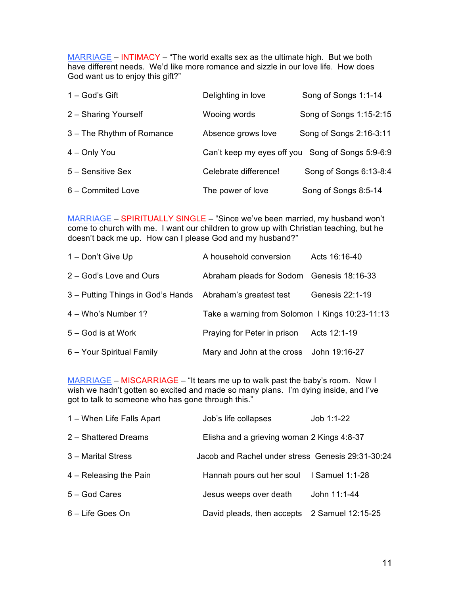MARRIAGE – INTIMACY – "The world exalts sex as the ultimate high. But we both have different needs. We'd like more romance and sizzle in our love life. How does God want us to enjoy this gift?"

| $1 - God's Gift$          | Delighting in love                               | Song of Songs 1:1-14    |
|---------------------------|--------------------------------------------------|-------------------------|
| 2 - Sharing Yourself      | Wooing words                                     | Song of Songs 1:15-2:15 |
| 3 - The Rhythm of Romance | Absence grows love                               | Song of Songs 2:16-3:11 |
| 4 - Only You              | Can't keep my eyes off you Song of Songs 5:9-6:9 |                         |
| 5 - Sensitive Sex         | Celebrate difference!                            | Song of Songs 6:13-8:4  |
| 6 - Commited Love         | The power of love                                | Song of Songs 8:5-14    |

MARRIAGE – SPIRITUALLY SINGLE – "Since we've been married, my husband won't come to church with me. I want our children to grow up with Christian teaching, but he doesn't back me up. How can I please God and my husband?"

| 1 – Don't Give Up                                         | A household conversion                          | Acts 16:16-40   |
|-----------------------------------------------------------|-------------------------------------------------|-----------------|
| 2 - God's Love and Ours                                   | Abraham pleads for Sodom Genesis 18:16-33       |                 |
| 3 - Putting Things in God's Hands Abraham's greatest test |                                                 | Genesis 22:1-19 |
| 4 – Who's Number 1?                                       | Take a warning from Solomon   Kings 10:23-11:13 |                 |
| 5 – God is at Work                                        | Praying for Peter in prison                     | Acts 12:1-19    |
| 6 - Your Spiritual Family                                 | Mary and John at the cross                      | John 19:16-27   |

MARRIAGE – MISCARRIAGE – "It tears me up to walk past the baby's room. Now I wish we hadn't gotten so excited and made so many plans. I'm dying inside, and I've got to talk to someone who has gone through this."

| 1 – When Life Falls Apart | Job's life collapses                              | Job 1:1-22      |
|---------------------------|---------------------------------------------------|-----------------|
| 2 - Shattered Dreams      | Elisha and a grieving woman 2 Kings 4:8-37        |                 |
| 3 - Marital Stress        | Jacob and Rachel under stress Genesis 29:31-30:24 |                 |
| 4 – Releasing the Pain    | Hannah pours out her soul                         | I Samuel 1:1-28 |
| 5 - God Cares             | Jesus weeps over death                            | John 11:1-44    |
| 6 - Life Goes On          | David pleads, then accepts 2 Samuel 12:15-25      |                 |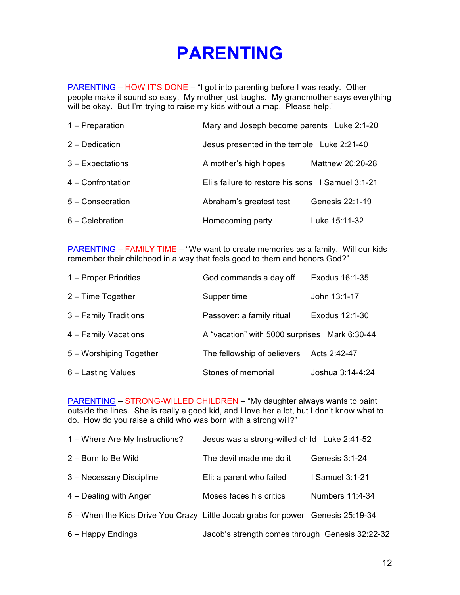### **PARENTING**

PARENTING – HOW IT'S DONE – "I got into parenting before I was ready. Other people make it sound so easy. My mother just laughs. My grandmother says everything will be okay. But I'm trying to raise my kids without a map. Please help."

| 1 – Preparation   | Mary and Joseph become parents Luke 2:1-20        |                  |
|-------------------|---------------------------------------------------|------------------|
| 2 - Dedication    | Jesus presented in the temple Luke 2:21-40        |                  |
| 3 - Expectations  | A mother's high hopes                             | Matthew 20:20-28 |
| 4 - Confrontation | Eli's failure to restore his sons I Samuel 3:1-21 |                  |
| 5 - Consecration  | Abraham's greatest test                           | Genesis 22:1-19  |
| $6 - Celebration$ | Homecoming party                                  | Luke 15:11-32    |

PARENTING – FAMILY TIME – "We want to create memories as a family. Will our kids remember their childhood in a way that feels good to them and honors God?"

| 1 – Proper Priorities   | God commands a day off                        | Exodus 16:1-35   |
|-------------------------|-----------------------------------------------|------------------|
| $2 -$ Time Together     | Supper time                                   | John 13:1-17     |
| 3 - Family Traditions   | Passover: a family ritual                     | Exodus 12:1-30   |
| 4 - Family Vacations    | A "vacation" with 5000 surprises Mark 6:30-44 |                  |
| 5 – Worshiping Together | The fellowship of believers                   | Acts 2:42-47     |
| 6 - Lasting Values      | Stones of memorial                            | Joshua 3:14-4:24 |

PARENTING – STRONG-WILLED CHILDREN – "My daughter always wants to paint outside the lines. She is really a good kid, and I love her a lot, but I don't know what to do. How do you raise a child who was born with a strong will?"

| 1 – Where Are My Instructions?                                                  | Jesus was a strong-willed child Luke 2:41-52    |                 |
|---------------------------------------------------------------------------------|-------------------------------------------------|-----------------|
| 2 - Born to Be Wild                                                             | The devil made me do it                         | Genesis 3:1-24  |
| 3 - Necessary Discipline                                                        | Eli: a parent who failed                        | I Samuel 3:1-21 |
| 4 – Dealing with Anger                                                          | Moses faces his critics                         | Numbers 11:4-34 |
| 5 – When the Kids Drive You Crazy Little Jocab grabs for power Genesis 25:19-34 |                                                 |                 |
| 6 – Happy Endings                                                               | Jacob's strength comes through Genesis 32:22-32 |                 |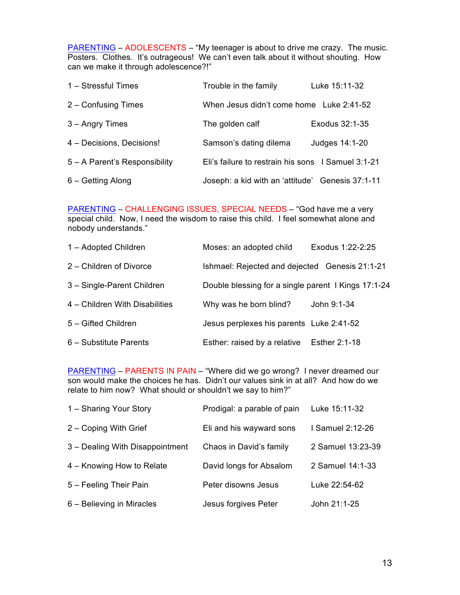PARENTING – ADOLESCENTS – "My teenager is about to drive me crazy. The music. Posters. Clothes. It's outrageous! We can't even talk about it without shouting. How can we make it through adolescence?!"

| 1 - Stressful Times           | Trouble in the family                              | Luke 15:11-32  |
|-------------------------------|----------------------------------------------------|----------------|
| 2 - Confusing Times           | When Jesus didn't come home Luke 2:41-52           |                |
| 3 - Angry Times               | The golden calf                                    | Exodus 32:1-35 |
| 4 - Decisions, Decisions!     | Samson's dating dilema                             | Judges 14:1-20 |
| 5 - A Parent's Responsibility | Eli's failure to restrain his sons I Samuel 3:1-21 |                |
| 6 – Getting Along             | Joseph: a kid with an 'attitude' Genesis 37:1-11   |                |

PARENTING – CHALLENGING ISSUES, SPECIAL NEEDS – "God have me a very special child. Now, I need the wisdom to raise this child. I feel somewhat alone and nobody understands."

| 1 - Adopted Children           | Moses: an adopted child                             | Exodus 1:22-2:25 |
|--------------------------------|-----------------------------------------------------|------------------|
| 2 - Children of Divorce        | Ishmael: Rejected and dejected Genesis 21:1-21      |                  |
| 3 - Single-Parent Children     | Double blessing for a single parent I Kings 17:1-24 |                  |
| 4 - Children With Disabilities | Why was he born blind?                              | John 9:1-34      |
| 5 - Gifted Children            | Jesus perplexes his parents Luke 2:41-52            |                  |
| 6 - Substitute Parents         | Esther: raised by a relative                        | Esther 2:1-18    |

PARENTING – PARENTS IN PAIN – "Where did we go wrong? I never dreamed our son would make the choices he has. Didn't our values sink in at all? And how do we relate to him now? What should or shouldn't we say to him?"

| 1 – Sharing Your Story          | Prodigal: a parable of pain | Luke 15:11-32     |
|---------------------------------|-----------------------------|-------------------|
| 2 - Coping With Grief           | Eli and his wayward sons    | I Samuel 2:12-26  |
| 3 - Dealing With Disappointment | Chaos in David's family     | 2 Samuel 13:23-39 |
| 4 – Knowing How to Relate       | David longs for Absalom     | 2 Samuel 14:1-33  |
| 5 - Feeling Their Pain          | Peter disowns Jesus         | Luke 22:54-62     |
| 6 – Believing in Miracles       | Jesus forgives Peter        | John 21:1-25      |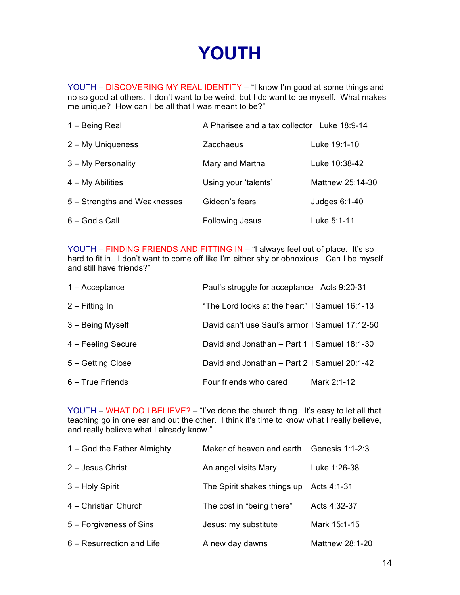### **YOUTH**

YOUTH – DISCOVERING MY REAL IDENTITY – "I know I'm good at some things and  $\overline{\text{no so good}}$  at others. I don't want to be weird, but I do want to be myself. What makes me unique? How can I be all that I was meant to be?"

| 1 - Being Real               | A Pharisee and a tax collector Luke 18:9-14 |                  |
|------------------------------|---------------------------------------------|------------------|
| 2 - My Uniqueness            | Zacchaeus                                   | Luke 19:1-10     |
| 3 - My Personality           | Mary and Martha                             | Luke 10:38-42    |
| $4 - My$ Abilities           | Using your 'talents'                        | Matthew 25:14-30 |
| 5 – Strengths and Weaknesses | Gideon's fears                              | Judges 6:1-40    |
| 6 - God's Call               | <b>Following Jesus</b>                      | Luke 5:1-11      |

YOUTH – FINDING FRIENDS AND FITTING IN – "I always feel out of place. It's so hard to fit in. I don't want to come off like I'm either shy or obnoxious. Can I be myself and still have friends?"

| $1 -$ Acceptance   | Paul's struggle for acceptance Acts 9:20-31    |             |
|--------------------|------------------------------------------------|-------------|
| $2 - Fitting In$   | "The Lord looks at the heart" I Samuel 16:1-13 |             |
| 3 - Being Myself   | David can't use Saul's armor I Samuel 17:12-50 |             |
| 4 – Feeling Secure | David and Jonathan - Part 1   Samuel 18:1-30   |             |
| 5 - Getting Close  | David and Jonathan - Part 2   Samuel 20:1-42   |             |
| 6 - True Friends   | Four friends who cared                         | Mark 2:1-12 |

YOUTH – WHAT DO I BELIEVE? – "I've done the church thing. It's easy to let all that teaching go in one ear and out the other. I think it's time to know what I really believe, and really believe what I already know."

| 1 – God the Father Almighty | Maker of heaven and earth Genesis 1:1-2:3 |                 |
|-----------------------------|-------------------------------------------|-----------------|
| 2 - Jesus Christ            | An angel visits Mary                      | Luke 1:26-38    |
| 3 - Holy Spirit             | The Spirit shakes things up               | Acts 4:1-31     |
| 4 - Christian Church        | The cost in "being there"                 | Acts 4:32-37    |
| 5 – Forgiveness of Sins     | Jesus: my substitute                      | Mark 15:1-15    |
| 6 – Resurrection and Life   | A new day dawns                           | Matthew 28:1-20 |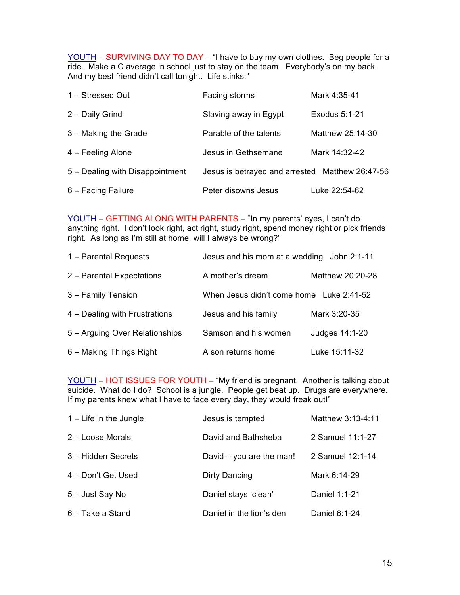YOUTH - SURVIVING DAY TO DAY - "I have to buy my own clothes. Beg people for a ride. Make a C average in school just to stay on the team. Everybody's on my back. And my best friend didn't call tonight. Life stinks."

| 1 - Stressed Out                | Facing storms                                   | Mark 4:35-41     |
|---------------------------------|-------------------------------------------------|------------------|
| 2 - Daily Grind                 | Slaving away in Egypt                           | Exodus 5:1-21    |
| 3 - Making the Grade            | Parable of the talents                          | Matthew 25:14-30 |
| 4 – Feeling Alone               | Jesus in Gethsemane                             | Mark 14:32-42    |
| 5 - Dealing with Disappointment | Jesus is betrayed and arrested Matthew 26:47-56 |                  |
| 6 - Facing Failure              | Peter disowns Jesus                             | Luke 22:54-62    |

YOUTH – GETTING ALONG WITH PARENTS – "In my parents' eyes, I can't do anything right. I don't look right, act right, study right, spend money right or pick friends right. As long as I'm still at home, will I always be wrong?"

| 1 - Parental Requests          | Jesus and his mom at a wedding John 2:1-11 |                  |
|--------------------------------|--------------------------------------------|------------------|
| 2 - Parental Expectations      | A mother's dream                           | Matthew 20:20-28 |
| 3 - Family Tension             | When Jesus didn't come home Luke 2:41-52   |                  |
| 4 – Dealing with Frustrations  | Jesus and his family                       | Mark 3:20-35     |
| 5 - Arguing Over Relationships | Samson and his women                       | Judges 14:1-20   |
| 6 – Making Things Right        | A son returns home                         | Luke 15:11-32    |

YOUTH – HOT ISSUES FOR YOUTH – "My friend is pregnant. Another is talking about suicide. What do I do? School is a jungle. People get beat up. Drugs are everywhere. If my parents knew what I have to face every day, they would freak out!"

| $1 -$ Life in the Jungle | Jesus is tempted           | Matthew 3:13-4:11 |
|--------------------------|----------------------------|-------------------|
| 2 - Loose Morals         | David and Bathsheba        | 2 Samuel 11:1-27  |
| 3 – Hidden Secrets       | David $-$ you are the man! | 2 Samuel 12:1-14  |
| 4 - Don't Get Used       | Dirty Dancing              | Mark 6:14-29      |
| 5 - Just Say No          | Daniel stays 'clean'       | Daniel 1:1-21     |
| 6 - Take a Stand         | Daniel in the lion's den   | Daniel 6:1-24     |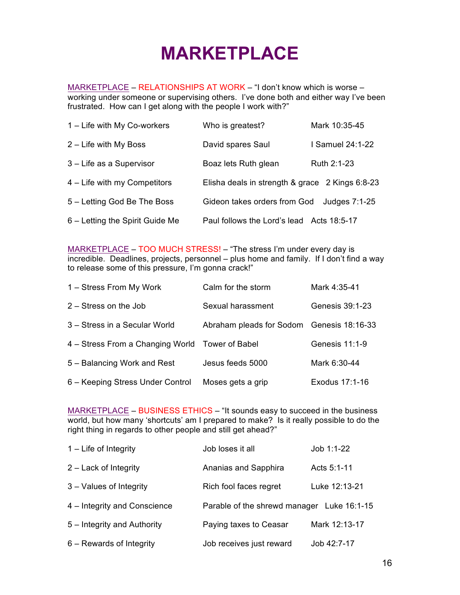## **MARKETPLACE**

MARKETPLACE – RELATIONSHIPS AT WORK – "I don't know which is worse – working under someone or supervising others. I've done both and either way I've been frustrated. How can I get along with the people I work with?"

| 1 – Life with My Co-workers     | Who is greatest?                                | Mark 10:35-45    |
|---------------------------------|-------------------------------------------------|------------------|
| 2 – Life with My Boss           | David spares Saul                               | I Samuel 24:1-22 |
| 3 - Life as a Supervisor        | Boaz lets Ruth glean                            | Ruth 2:1-23      |
| 4 – Life with my Competitors    | Elisha deals in strength & grace 2 Kings 6:8-23 |                  |
| 5 – Letting God Be The Boss     | Gideon takes orders from God                    | Judges 7:1-25    |
| 6 – Letting the Spirit Guide Me | Paul follows the Lord's lead Acts 18:5-17       |                  |

MARKETPLACE – TOO MUCH STRESS! – "The stress I'm under every day is incredible. Deadlines, projects, personnel – plus home and family. If I don't find a way to release some of this pressure, I'm gonna crack!"

| 1 – Stress From My Work                         | Calm for the storm                        | Mark 4:35-41    |
|-------------------------------------------------|-------------------------------------------|-----------------|
| $2 -$ Stress on the Job                         | Sexual harassment                         | Genesis 39:1-23 |
| 3 – Stress in a Secular World                   | Abraham pleads for Sodom Genesis 18:16-33 |                 |
| 4 - Stress From a Changing World Tower of Babel |                                           | Genesis 11:1-9  |
| 5 – Balancing Work and Rest                     | Jesus feeds 5000                          | Mark 6:30-44    |
| 6 - Keeping Stress Under Control                | Moses gets a grip                         | Exodus 17:1-16  |

MARKETPLACE – BUSINESS ETHICS – "It sounds easy to succeed in the business world, but how many 'shortcuts' am I prepared to make? Is it really possible to do the right thing in regards to other people and still get ahead?"

| $1 -$ Life of Integrity      | Job loses it all                           | Job 1:1-22    |
|------------------------------|--------------------------------------------|---------------|
| 2 – Lack of Integrity        | Ananias and Sapphira                       | Acts 5:1-11   |
| 3 – Values of Integrity      | Rich fool faces regret                     | Luke 12:13-21 |
| 4 – Integrity and Conscience | Parable of the shrewd manager Luke 16:1-15 |               |
| 5 – Integrity and Authority  | Paying taxes to Ceasar                     | Mark 12:13-17 |
| $6 -$ Rewards of Integrity   | Job receives just reward                   | Job 42:7-17   |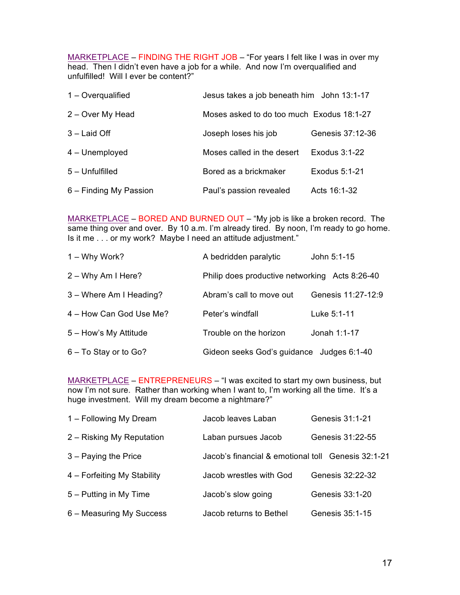MARKETPLACE – FINDING THE RIGHT JOB – "For years I felt like I was in over my head. Then I didn't even have a job for a while. And now I'm overqualified and unfulfilled! Will I ever be content?"

| $1 -$ Overgualified    | Jesus takes a job beneath him John 13:1-17 |                  |
|------------------------|--------------------------------------------|------------------|
| 2 - Over My Head       | Moses asked to do too much Exodus 18:1-27  |                  |
| $3 -$ Laid Off         | Joseph loses his job                       | Genesis 37:12-36 |
| 4 - Unemployed         | Moses called in the desert                 | Exodus 3:1-22    |
| 5 - Unfulfilled        | Bored as a brickmaker                      | Exodus 5:1-21    |
| 6 – Finding My Passion | Paul's passion revealed                    | Acts 16:1-32     |

MARKETPLACE – BORED AND BURNED OUT – "My job is like a broken record. The same thing over and over. By 10 a.m. I'm already tired. By noon, I'm ready to go home. Is it me . . . or my work? Maybe I need an attitude adjustment."

| 1 – Why Work?           | A bedridden paralytic                          | John 5:1-15        |
|-------------------------|------------------------------------------------|--------------------|
| $2 - Why Am$ I Here?    | Philip does productive networking Acts 8:26-40 |                    |
| 3 – Where Am I Heading? | Abram's call to move out                       | Genesis 11:27-12:9 |
| 4 - How Can God Use Me? | Peter's windfall                               | Luke 5:1-11        |
| 5 - How's My Attitude   | Trouble on the horizon                         | Jonah 1:1-17       |
| 6 - To Stay or to Go?   | Gideon seeks God's guidance Judges 6:1-40      |                    |

MARKETPLACE – ENTREPRENEURS – "I was excited to start my own business, but now I'm not sure. Rather than working when I want to, I'm working all the time. It's a huge investment. Will my dream become a nightmare?"

| 1 – Following My Dream      | Jacob leaves Laban                                 | Genesis 31:1-21  |
|-----------------------------|----------------------------------------------------|------------------|
| 2 – Risking My Reputation   | Laban pursues Jacob                                | Genesis 31:22-55 |
| $3 -$ Paying the Price      | Jacob's financial & emotional toll Genesis 32:1-21 |                  |
| 4 - Forfeiting My Stability | Jacob wrestles with God                            | Genesis 32:22-32 |
| 5 – Putting in My Time      | Jacob's slow going                                 | Genesis 33:1-20  |
| 6 - Measuring My Success    | Jacob returns to Bethel                            | Genesis 35:1-15  |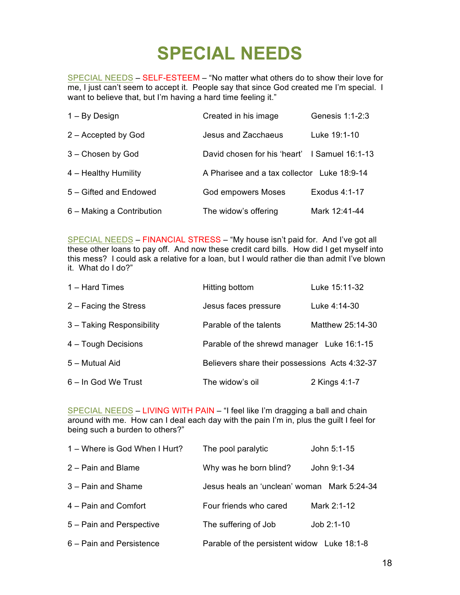## **SPECIAL NEEDS**

SPECIAL NEEDS – SELF-ESTEEM – "No matter what others do to show their love for me, I just can't seem to accept it. People say that since God created me I'm special. I want to believe that, but I'm having a hard time feeling it."

| $1 - By Design$           | Created in his image                          | Genesis 1:1-2:3 |
|---------------------------|-----------------------------------------------|-----------------|
| 2 – Accepted by God       | Jesus and Zacchaeus                           | Luke 19:1-10    |
| 3 - Chosen by God         | David chosen for his 'heart' I Samuel 16:1-13 |                 |
| 4 - Healthy Humility      | A Pharisee and a tax collector Luke 18:9-14   |                 |
| 5 - Gifted and Endowed    | <b>God empowers Moses</b>                     | Exodus 4:1-17   |
| 6 – Making a Contribution | The widow's offering                          | Mark 12:41-44   |

SPECIAL NEEDS – FINANCIAL STRESS – "My house isn't paid for. And I've got all these other loans to pay off. And now these credit card bills. How did I get myself into this mess? I could ask a relative for a loan, but I would rather die than admit I've blown it. What do I do?"

| 1 - Hard Times            | Hitting bottom                                 | Luke 15:11-32    |
|---------------------------|------------------------------------------------|------------------|
| $2 -$ Facing the Stress   | Jesus faces pressure                           | Luke 4:14-30     |
| 3 - Taking Responsibility | Parable of the talents                         | Matthew 25:14-30 |
| 4 - Tough Decisions       | Parable of the shrewd manager Luke 16:1-15     |                  |
| 5 - Mutual Aid            | Believers share their possessions Acts 4:32-37 |                  |
| 6 - In God We Trust       | The widow's oil                                | 2 Kings 4:1-7    |

SPECIAL NEEDS – LIVING WITH PAIN – "I feel like I'm dragging a ball and chain around with me. How can I deal each day with the pain I'm in, plus the guilt I feel for being such a burden to others?"

| 1 – Where is God When I Hurt? | The pool paralytic                          | John 5:1-15 |
|-------------------------------|---------------------------------------------|-------------|
| 2 - Pain and Blame            | Why was he born blind?                      | John 9:1-34 |
| 3 - Pain and Shame            | Jesus heals an 'unclean' woman Mark 5:24-34 |             |
| 4 - Pain and Comfort          | Four friends who cared                      | Mark 2:1-12 |
| 5 – Pain and Perspective      | The suffering of Job                        | Job 2:1-10  |
| 6 - Pain and Persistence      | Parable of the persistent widow Luke 18:1-8 |             |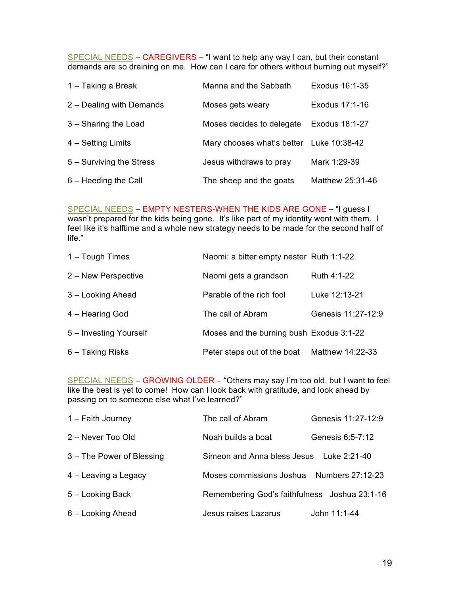SPECIAL NEEDS – CAREGIVERS – "I want to help any way I can, but their constant demands are so draining on me. How can I care for others without burning out myself?"

| 1 – Taking a Break       | Manna and the Sabbath                    | Exodus 16:1-35   |
|--------------------------|------------------------------------------|------------------|
| 2 - Dealing with Demands | Moses gets weary                         | Exodus 17:1-16   |
| 3 - Sharing the Load     | Moses decides to delegate                | Exodus 18:1-27   |
| 4 - Setting Limits       | Mary chooses what's better Luke 10:38-42 |                  |
| 5 - Surviving the Stress | Jesus withdraws to pray                  | Mark 1:29-39     |
| 6 - Heeding the Call     | The sheep and the goats                  | Matthew 25:31-46 |

SPECIAL NEEDS – EMPTY NESTERS-WHEN THE KIDS ARE GONE – "I guess I wasn't prepared for the kids being gone. It's like part of my identity went with them. I feel like it's halftime and a whole new strategy needs to be made for the second half of life."

| 1 - Tough Times        | Naomi: a bitter empty nester Ruth 1:1-22 |                    |
|------------------------|------------------------------------------|--------------------|
| 2 – New Perspective    | Naomi gets a grandson                    | Ruth 4:1-22        |
| 3 - Looking Ahead      | Parable of the rich fool                 | Luke 12:13-21      |
| 4 - Hearing God        | The call of Abram                        | Genesis 11:27-12:9 |
| 5 - Investing Yourself | Moses and the burning bush Exodus 3:1-22 |                    |
| 6 - Taking Risks       | Peter steps out of the boat              | Matthew 14:22-33   |

SPECIAL NEEDS – GROWING OLDER – "Others may say I'm too old, but I want to feel like the best is yet to come! How can I look back with gratitude, and look ahead by passing on to someone else what I've learned?"

| 1 - Faith Journey         | The call of Abram                             | Genesis 11:27-12:9 |
|---------------------------|-----------------------------------------------|--------------------|
| 2 - Never Too Old         | Noah builds a boat                            | Genesis 6:5-7:12   |
| 3 - The Power of Blessing | Simeon and Anna bless Jesus Luke 2:21-40      |                    |
| 4 – Leaving a Legacy      | Moses commissions Joshua                      | Numbers 27:12-23   |
| 5 - Looking Back          | Remembering God's faithfulness Joshua 23:1-16 |                    |
| 6 - Looking Ahead         | Jesus raises Lazarus                          | John 11:1-44       |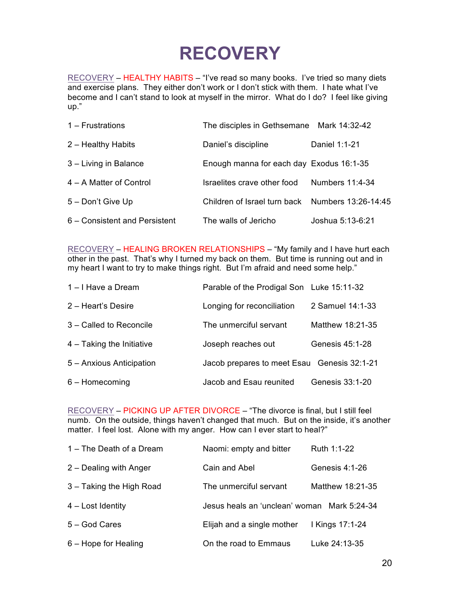## **RECOVERY**

RECOVERY – HEALTHY HABITS – "I've read so many books. I've tried so many diets and exercise plans. They either don't work or I don't stick with them. I hate what I've become and I can't stand to look at myself in the mirror. What do I do? I feel like giving up."

| $1 -$ Frustrations            | The disciples in Gethsemane Mark 14:32-42        |                  |
|-------------------------------|--------------------------------------------------|------------------|
| 2 - Healthy Habits            | Daniel's discipline                              | Daniel 1:1-21    |
| 3 - Living in Balance         | Enough manna for each day Exodus 16:1-35         |                  |
| 4 – A Matter of Control       | Israelites crave other food                      | Numbers 11:4-34  |
| 5 - Don't Give Up             | Children of Israel turn back Numbers 13:26-14:45 |                  |
| 6 – Consistent and Persistent | The walls of Jericho                             | Joshua 5:13-6:21 |

RECOVERY – HEALING BROKEN RELATIONSHIPS – "My family and I have hurt each other in the past. That's why I turned my back on them. But time is running out and in my heart I want to try to make things right. But I'm afraid and need some help."

| 1-I Have a Dream            | Parable of the Prodigal Son Luke 15:11-32   |                  |
|-----------------------------|---------------------------------------------|------------------|
| 2 - Heart's Desire          | Longing for reconciliation                  | 2 Samuel 14:1-33 |
| 3 - Called to Reconcile     | The unmerciful servant                      | Matthew 18:21-35 |
| $4 -$ Taking the Initiative | Joseph reaches out                          | Genesis 45:1-28  |
| 5 - Anxious Anticipation    | Jacob prepares to meet Esau Genesis 32:1-21 |                  |
| $6 -$ Homecoming            | Jacob and Esau reunited                     | Genesis 33:1-20  |

RECOVERY – PICKING UP AFTER DIVORCE – "The divorce is final, but I still feel numb. On the outside, things haven't changed that much. But on the inside, it's another matter. I feel lost. Alone with my anger. How can I ever start to heal?"

| 1 - The Death of a Dream | Naomi: empty and bitter                     | Ruth 1:1-22      |
|--------------------------|---------------------------------------------|------------------|
| 2 – Dealing with Anger   | Cain and Abel                               | Genesis 4:1-26   |
| 3 - Taking the High Road | The unmerciful servant                      | Matthew 18:21-35 |
| 4 – Lost Identity        | Jesus heals an 'unclean' woman Mark 5:24-34 |                  |
| 5 - God Cares            | Elijah and a single mother                  | I Kings 17:1-24  |
| 6 – Hope for Healing     | On the road to Emmaus                       | Luke 24:13-35    |